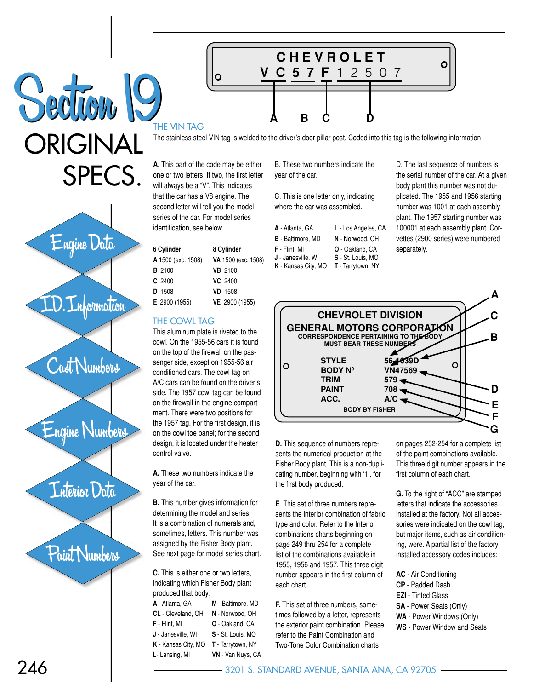ORIGINAL SPECS. Section 19

ORIGINAL SPECS.



Cast Numbers

Engine Numbers

## Interior Data

Paint Numbers

THE VIN TAG

The stainless steel VIN tag is welded to the driver's door pillar post. Coded into this tag is the following information:

**A B C D**

**C H E V R O L E T**

**V C 5 7 F** 1 2 5 0 7

**A.** This part of the code may be either one or two letters. If two, the first letter will always be a "V". This indicates that the car has a V8 engine. The second letter will tell you the model series of the car. For model series identification, see below.

O

| <u>6 Cylinder</u>  | 8 Cylinder          |  |
|--------------------|---------------------|--|
| A 1500 (exc. 1508) | VA 1500 (exc. 1508) |  |
| <b>B</b> 2100      | <b>VB</b> 2100      |  |
| $C$ 2400           | VC 2400             |  |
| <b>D</b> 1508      | <b>VD</b> 1508      |  |
| E 2900 (1955)      | VE 2900 (1955)      |  |
|                    |                     |  |

### THE COWL TAG

This aluminum plate is riveted to the cowl. On the 1955-56 cars it is found on the top of the firewall on the passenger side, except on 1955-56 air conditioned cars. The cowl tag on A/C cars can be found on the driver's side. The 1957 cowl tag can be found on the firewall in the engine compartment. There were two positions for the 1957 tag. For the first design, it is on the cowl toe panel; for the second design, it is located under the heater control valve.

**A.** These two numbers indicate the year of the car.

**B.** This number gives information for determining the model and series. It is a combination of numerals and, sometimes, letters. This number was assigned by the Fisher Body plant. See next page for model series chart.

**C.** This is either one or two letters, indicating which Fisher Body plant produced that body.

| A - Atlanta, GA     | M - Baltimore, MD |
|---------------------|-------------------|
| CL - Cleveland, OH  | N - Norwood, OH   |
| F - Flint, MI       | O - Oakland, CA   |
| J - Janesville, WI  | S - St. Louis, MO |
| K - Kansas City, MO | T - Tarrytown, NY |
| L- Lansing, MI      | VN - Van Nuys, CA |
|                     |                   |

B. These two numbers indicate the year of the car.

C. This is one letter only, indicating where the car was assembled.

| L - Los Angeles, CA                         |
|---------------------------------------------|
| N - Norwood, OH                             |
| <b>O</b> - Oakland, CA<br>S - St. Louis, MO |
|                                             |

**K** - Kansas City, MO **T** - Tarrytown, NY

D. The last sequence of numbers is the serial number of the car. At a given body plant this number was not duplicated. The 1955 and 1956 starting number was 1001 at each assembly plant. The 1957 starting number was 100001 at each assembly plant. Corvettes (2900 series) were numbered separately.

 $\circ$ 



**D.** This sequence of numbers represents the numerical production at the Fisher Body plant. This is a non-duplicating number, beginning with '1', for the first body produced.

**E**. This set of three numbers represents the interior combination of fabric type and color. Refer to the Interior combinations charts beginning on page 249 thru 254 for a complete list of the combinations available in 1955, 1956 and 1957. This three digit number appears in the first column of each chart.

**F.** This set of three numbers, sometimes followed by a letter, represents the exterior paint combination. Please refer to the Paint Combination and Two-Tone Color Combination charts

on pages 252-254 for a complete list of the paint combinations available. This three digit number appears in the first column of each chart.

**G.** To the right of "ACC" are stamped letters that indicate the accessories installed at the factory. Not all accessories were indicated on the cowl tag, but major items, such as air conditioning, were. A partial list of the factory installed accessory codes includes:

- **AC** Air Conditioning
- **CP** Padded Dash
- **EZI** Tinted Glass
- **SA** Power Seats (Only)
- **WA** Power Windows (Only)
- **WS** Power Window and Seats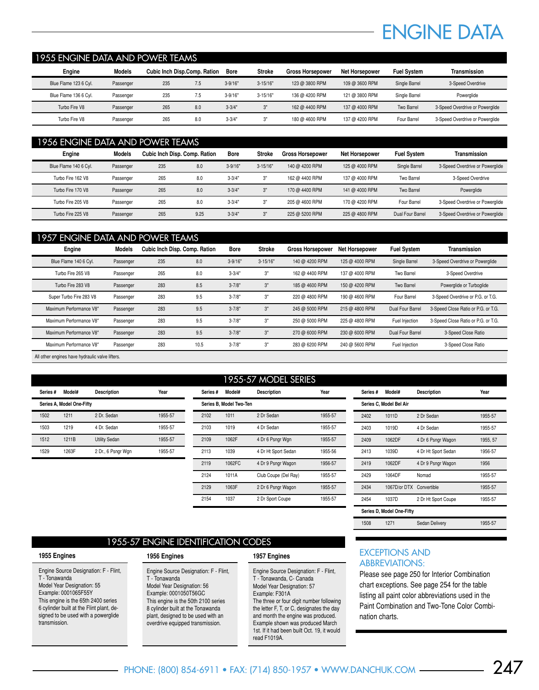## ENGINE DATA

### 1955 ENGINE DATA AND POWER TEAMS

| Engine                | Models    | Cubic Inch Disp.Comp. Ration |     | <b>Bore</b> | <b>Stroke</b> | <b>Gross Horsepower</b> | Net Horsepower | <b>Fuel System</b> | Transmission                    |
|-----------------------|-----------|------------------------------|-----|-------------|---------------|-------------------------|----------------|--------------------|---------------------------------|
| Blue Flame 123 6 Cyl. | Passenger | 235                          | 7.5 | $3 - 9/16"$ | $3 - 15/16"$  | 123 @ 3800 RPM          | 109 @ 3600 RPM | Single Barrel      | 3-Speed Overdrive               |
| Blue Flame 136 6 Cyl. | Passenger | 235                          |     | $3 - 9/16"$ | $3 - 15/16"$  | 136 @ 4200 RPM          | 121 @ 3800 RPM | Single Barrel      | Poweralide                      |
| Turbo Fire V8         | Passenger | 265                          | 8.0 | $3 - 3/4"$  | יימ           | 162 @ 4400 RPM          | 137 @ 4000 RPM | Two Barrel         | 3-Speed Overdrive or Powerglide |
| Turbo Fire V8         | Passenger | 265                          | 8.0 | $3 - 3/4"$  |               | 180 @ 4600 RPM          | 137 @ 4200 RPM | Four Barrel        | 3-Speed Overdrive or Powerglide |

#### 1956 ENGINE DATA AND POWER TEAMS

| Engine                | <b>Models</b> | <b>Cubic Inch Disp. Comp. Ration</b> |      | Bore        | <b>Stroke</b> | <b>Gross Horsepower</b> | <b>Net Horsepower</b> | <b>Fuel System</b> | <b>Transmission</b>             |
|-----------------------|---------------|--------------------------------------|------|-------------|---------------|-------------------------|-----------------------|--------------------|---------------------------------|
| Blue Flame 140 6 Cyl. | Passenger     | 235                                  | 8.0  | $3 - 9/16"$ | $3 - 15/16"$  | 140 @ 4200 RPM          | 125 @ 4000 RPM        | Single Barrel      | 3-Speed Overdrive or Powerglide |
| Turbo Fire 162 V8     | Passenger     | 265                                  | 8.0  | $3 - 3/4"$  | 3"            | 162 @ 4400 RPM          | 137 @ 4000 RPM        | Two Barrel         | 3-Speed Overdrive               |
| Turbo Fire 170 V8     | Passenger     | 265                                  | 8.0  | $3 - 3/4"$  | 3"            | 170 @ 4400 RPM          | 141 @ 4000 RPM        | Two Barrel         | Powerglide                      |
| Turbo Fire 205 V8     | Passenger     | 265                                  | 8.0  | $3 - 3/4"$  | 3"            | 205 @ 4600 RPM          | 170 @ 4200 RPM        | Four Barrel        | 3-Speed Overdrive or Powerglide |
| Turbo Fire 225 V8     | Passenger     | 265                                  | 9.25 | $3 - 3/4"$  | 3"            | 225 @ 5200 RPM          | 225 @ 4800 RPM        | Dual Four Barrel   | 3-Speed Overdrive or Powerglide |

| 1957 ENGINE DATA AND POWER TEAMS |           |                               |      |             |            |                         |                       |                    |                                     |
|----------------------------------|-----------|-------------------------------|------|-------------|------------|-------------------------|-----------------------|--------------------|-------------------------------------|
| Engine                           | Models    | Cubic Inch Disp. Comp. Ration |      | <b>Bore</b> | Stroke     | <b>Gross Horsepower</b> | <b>Net Horsepower</b> | <b>Fuel System</b> | <b>Transmission</b>                 |
| Blue Flame 140 6 Cyl.            | Passenger | 235                           | 8.0  | $3 - 9/16"$ | $3-15/16"$ | 140 @ 4200 RPM          | 125 @ 4000 RPM        | Single Barrel      | 3-Speed Overdrive or Powerglide     |
| Turbo Fire 265 V8                | Passenger | 265                           | 8.0  | $3 - 3/4'$  | 3"         | 162 @ 4400 RPM          | 137 @ 4000 RPM        | Two Barrel         | 3-Speed Overdrive                   |
| Turbo Fire 283 V8                | Passenger | 283                           | 8.5  | $3 - 7/8"$  | 3"         | 185 @ 4600 RPM          | 150 @ 4200 RPM        | Two Barrel         | Powerglide or Turboglide            |
| Super Turbo Fire 283 V8          | Passenger | 283                           | 9.5  | $3 - 7/8"$  | 3"         | 220 @ 4800 RPM          | 190 @ 4600 RPM        | Four Barrel        | 3-Speed Overdrive or P.G. or T.G.   |
| Maximum Performance V8*          | Passenger | 283                           | 9.5  | $3 - 7/8"$  | 3"         | 245 @ 5000 RPM          | 215 @ 4800 RPM        | Dual Four Barrel   | 3-Speed Close Ratio or P.G. or T.G. |
| Maximum Performance V8*          | Passenger | 283                           | 9.5  | $3 - 7/8"$  | 3"         | 250 @ 5000 RPM          | 225 @ 4800 RPM        | Fuel Injection     | 3-Speed Close Ratio or P.G. or T.G. |
| Maximum Performance V8*          | Passenger | 283                           | 9.5  | $3 - 7/8"$  | 3"         | 270 @ 6000 RPM          | 230 @ 6000 RPM        | Dual Four Barrel   | 3-Speed Close Ratio                 |
| Maximum Performance V8*          | Passenger | 283                           | 10.5 | $3 - 7/8"$  | 3"         | 283 @ 6200 RPM          | 240 @ 5600 RPM        | Fuel Injection     | 3-Speed Close Ratio                 |
|                                  |           |                               |      |             |            |                         |                       |                    |                                     |

All other engines have hydraulic valve lifters.

|          |                           |                      |         |          |                         | 1955-57 MODEL SERIES |         |
|----------|---------------------------|----------------------|---------|----------|-------------------------|----------------------|---------|
| Series # | Model#                    | <b>Description</b>   | Year    | Series # | Model#                  | <b>Description</b>   | Year    |
|          | Series A, Model One-Fifty |                      |         |          | Series B. Model Two-Ten |                      |         |
| 1502     | 1211                      | 2 Dr. Sedan          | 1955-57 | 2102     | 1011                    | 2 Dr Sedan           | 1955-57 |
| 1503     | 1219                      | 4 Dr. Sedan          | 1955-57 | 2103     | 1019                    | 4 Dr Sedan           | 1955-57 |
| 1512     | 1211B                     | <b>Utility Sedan</b> | 1955-57 | 2109     | 1062F                   | 4 Dr 6 Psngr Wgn     | 1955-57 |
| 1529     | 1263F                     | 2 Dr., 6 Psngr Wgn   | 1955-57 | 2113     | 1039                    | 4 Dr Ht Sport Sedan  | 1955-56 |
|          |                           |                      |         | 2119     | 1062FC                  | 4 Dr 9 Psngr Wagon   | 1956-57 |
|          |                           |                      |         | 2124     | 1011A                   | Club Coupe (Del Ray) | 1955-57 |

| Series# | Model#                    | <b>Description</b>  | Year     |
|---------|---------------------------|---------------------|----------|
|         | Series C, Model Bel Air   |                     |          |
| 2402    | 1011D                     | 2 Dr Sedan          | 1955-57  |
| 2403    | 1019D                     | 4 Dr Sedan          | 1955-57  |
| 2409    | 1062DF                    | 4 Dr 6 Psngr Wagon  | 1955, 57 |
| 2413    | 1039D                     | 4 Dr Ht Sport Sedan | 1956-57  |
| 2419    | 1062DF                    | 4 Dr 9 Psngr Wagon  | 1956     |
| 2429    | 1064DF                    | Nomad               | 1955-57  |
| 2434    | 1067D/or DTX Convertible  |                     | 1955-57  |
| 2454    | 1037D                     | 2 Dr Ht Sport Coupe | 1955-57  |
|         | Series D, Model One-Fifty |                     |          |
| 1508    | 1271                      | Sedan Delivery      | 1955-57  |

### 1955-57 ENGINE IDENTIFICATION CODES

#### **1955 Engines**

Engine Source Designation: F - Flint, T - Tonawanda Model Year Designation: 55 Example: 0001065F55Y This engine is the 65th 2400 series 6 cylinder built at the Flint plant, designed to be used with a powerglide transmission.

#### **1956 Engines**

Engine Source Designation: F - Flint, T - Tonawanda Model Year Designation: 56 Example: 0001050T56GC This engine is the 50th 2100 series 8 cylinder built at the Tonawanda plant, designed to be used with an overdrive equipped transmission.

#### **1957 Engines**

 2129 1063F 2 Dr 6 Psngr Wagon 1955-57 2154 1037 2 Dr Sport Coupe 1955-57

> Engine Source Designation: F - Flint, T - Tonawanda, C- Canada Model Year Designation: 57 Example: F301A The three or four digit number following the letter F, T, or C, designates the day and month the engine was produced. Example shown was produced March 1st. If it had been built Oct. 19, it would read F1019A.

### EXCEPTIONS AND ABBREVIATIONS:

Please see page 250 for Interior Combination chart exceptions. See page 254 for the table listing all paint color abbreviations used in the Paint Combination and Two-Tone Color Combination charts.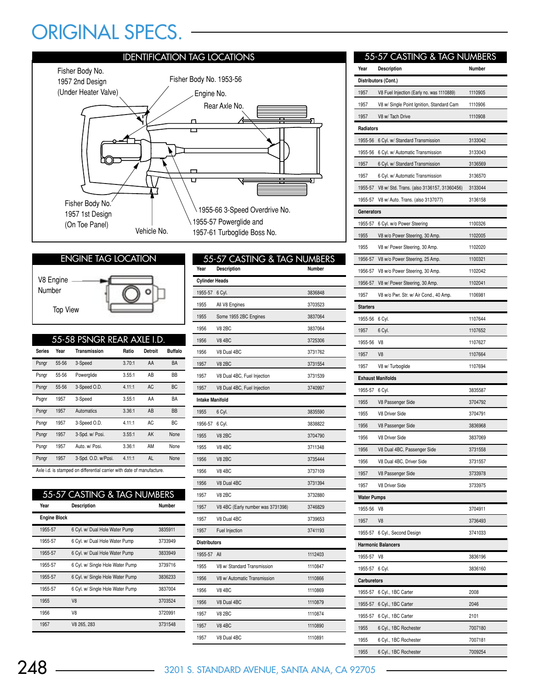# ORIGINAL SPECS.



### ENGINE TAG LOCATION

Top View V8 Engine Number



|               |       | 55-58 PSNGR REAR AXLE I.D.                                             |        |         |                |
|---------------|-------|------------------------------------------------------------------------|--------|---------|----------------|
| <b>Series</b> | Year  | Transmission                                                           | Ratio  | Detroit | <b>Buffalo</b> |
| Psngr         | 55-56 | 3-Speed                                                                | 3.70:1 | AA      | <b>BA</b>      |
| Psngr         | 55-56 | Powerglide                                                             | 3.55:1 | AB      | BB             |
| Psngr         | 55-56 | 3-Speed O.D.                                                           | 4.11:1 | AC      | <b>BC</b>      |
| Psgnr         | 1957  | 3-Speed                                                                | 3.55:1 | AA      | BA             |
| Psngr         | 1957  | Automatics                                                             | 3.36:1 | AB      | <b>BB</b>      |
| Psngr         | 1957  | 3-Speed O.D.                                                           | 4.11:1 | AC      | BC             |
| Psngr         | 1957  | 3-Spd. w/ Posi.                                                        | 3.55:1 | AK      | None           |
| Psngr         | 1957  | Auto, w/ Posi.                                                         | 3.36:1 | AM      | None           |
| Psngr         | 1957  | 3-Spd. O.D. w/Posi.                                                    | 4.11:1 | AL.     | None           |
|               |       | Axle i.d. is stamped on differential carrier with date of manufacture. |        |         |                |

## 55-57 CASTING & TAG NUMBERS

| Year                | <b>Description</b>               | Number  |
|---------------------|----------------------------------|---------|
| <b>Engine Block</b> |                                  |         |
| 1955-57             | 6 Cyl. w/ Dual Hole Water Pump   | 3835911 |
| 1955-57             | 6 Cyl. w/ Dual Hole Water Pump   | 3733949 |
| 1955-57             | 6 Cyl. w/ Dual Hole Water Pump   | 3833949 |
| 1955-57             | 6 Cyl. w/ Single Hole Water Pump | 3739716 |
| 1955-57             | 6 Cyl. w/ Single Hole Water Pump | 3836233 |
| 1955-57             | 6 Cyl. w/ Single Hole Water Pump | 3837004 |
| 1955                | V <sub>8</sub>                   | 3703524 |
| 1956                | V8                               | 3720991 |
| 1957                | V8 265, 283                      | 3731548 |

| Year                   | 55-57 CASTING & TAG NUMBERS       | Number  |
|------------------------|-----------------------------------|---------|
| <b>Cylinder Heads</b>  | Description                       |         |
| 1955-57                | 6 Cyl.                            | 3836848 |
| 1955                   | All V8 Engines                    | 3703523 |
| 1955                   | Some 1955 2BC Engines             | 3837064 |
| 1956                   | <b>V8 2BC</b>                     | 3837064 |
|                        |                                   |         |
| 1956                   | <b>V8 4BC</b>                     | 3725306 |
| 1956                   | V8 Dual 4BC                       | 3731762 |
| 1957                   | <b>V8 2BC</b>                     | 3731554 |
| 1957                   | V8 Dual 4BC, Fuel Injection       | 3731539 |
| 1957                   | V8 Dual 4BC, Fuel Injection       | 3740997 |
| <b>Intake Manifold</b> |                                   |         |
| 1955                   | 6 Cyl.                            | 3835590 |
| 1956-57                | 6 Cyl.                            | 3838822 |
| 1955                   | <b>V8 2BC</b>                     | 3704790 |
| 1955                   | <b>V8 4BC</b>                     | 3711348 |
| 1956                   | <b>V8 2BC</b>                     | 3735444 |
| 1956                   | <b>V8 4BC</b>                     | 3737109 |
| 1956                   | V8 Dual 4BC                       | 3731394 |
| 1957                   | <b>V8 2BC</b>                     | 3732880 |
| 1957                   | V8 4BC (Early number was 3731398) | 3746829 |
| 1957                   | V8 Dual 4BC                       | 3739653 |
| 1957                   | Fuel Injection                    | 3741193 |
| <b>Distributors</b>    |                                   |         |
| 1955-57 All            |                                   | 1112403 |
| 1955                   | V8 w/ Standard Transmission       | 1110847 |
| 1956                   | V8 w/ Automatic Transmission      | 1110866 |
| 1956                   | <b>V8 4BC</b>                     | 1110869 |
| 1956                   | V8 Dual 4BC                       | 1110879 |
| 1957                   | <b>V8 2BC</b>                     | 1110874 |
| 1957                   | <b>V8 4BC</b>                     | 1110890 |
| 1957                   | V8 Dual 4BC                       | 1110891 |
|                        |                                   |         |

|                    | 55-57 CASTING & TAG NUMBERS                        |         |
|--------------------|----------------------------------------------------|---------|
| Year               | Description                                        | Number  |
|                    | Distributors (Cont.)                               |         |
| 1957               | V8 Fuel Injection (Early no. was 1110889)          | 1110905 |
| 1957               | V8 w/ Single Point Ignition, Standard Cam          | 1110906 |
| 1957               | V8 w/ Tach Drive                                   | 1110908 |
| Radiators          |                                                    |         |
|                    | 1955-56 6 Cyl. w/ Standard Transmission            | 3133042 |
|                    | 1955-56 6 Cyl. w/ Automatic Transmission           | 3133043 |
| 1957               | 6 Cyl. w/ Standard Transmission                    | 3136569 |
| 1957               | 6 Cyl. w/ Automatic Transmission                   | 3136570 |
|                    | 1955-57 V8 w/ Std. Trans. (also 3136157, 31360456) | 3133044 |
|                    | 1955-57 V8 w/ Auto. Trans. (also 3137077)          | 3136158 |
| Generators         |                                                    |         |
| 1955-57            | 6 Cyl. w/o Power Steering                          | 1100326 |
| 1955               | V8 w/o Power Steering, 30 Amp.                     | 1102005 |
| 1955               | V8 w/ Power Steering, 30 Amp.                      | 1102020 |
| 1956-57            | V8 w/o Power Steering, 25 Amp.                     | 1100321 |
|                    | 1956-57 V8 w/o Power Steering, 30 Amp.             | 1102042 |
|                    | 1956-57 V8 w/ Power Steering, 30 Amp.              | 1102041 |
| 1957               | V8 w/o Pwr. Str. w/ Air Cond., 40 Amp.             | 1106981 |
| <b>Starters</b>    |                                                    |         |
| 1955-56 6 Cyl.     |                                                    | 1107644 |
| 1957               | 6 Cyl.                                             | 1107652 |
| 1955-56            | V8                                                 | 1107627 |
| 1957               | V <sub>8</sub>                                     | 1107664 |
| 1957               | V8 w/ Turboglide                                   | 1107694 |
|                    | <b>Exhaust Manifolds</b>                           |         |
| 1955-57            | 6 Cyl.                                             | 3835587 |
| 1955               | V8 Passenger Side                                  | 3704792 |
| 1955               | <b>V8 Driver Side</b>                              | 3704791 |
| 1956               | V8 Passenger Side                                  | 3836968 |
| 1956               | V8 Driver Side                                     | 3837069 |
| 1956               | V8 Dual 4BC, Passenger Side                        | 3731558 |
| 1956               | V8 Dual 4BC, Driver Side                           | 3731557 |
| 1957               | V8 Passenger Side                                  | 3733978 |
| 1957               | V8 Driver Side                                     | 3733975 |
| <b>Water Pumps</b> |                                                    |         |
| 1955-56            | V8                                                 | 3704911 |
| 1957               | V8                                                 | 3736493 |
| 1955-57            | 6 Cyl., Second Design                              | 3741033 |
|                    | <b>Harmonic Balancers</b>                          |         |
| 1955-57            | V8                                                 | 3836196 |
| 1955-57            | 6 Cyl.                                             | 3836160 |
| Carburetors        |                                                    |         |
| 1955-57            | 6 Cyl., 1BC Carter                                 | 2008    |
| 1955-57            | 6 Cyl., 1BC Carter                                 | 2046    |
| 1955-57            | 6 Cyl., 1BC Carter                                 | 2101    |
| 1955               | 6 Cyl., 1BC Rochester                              | 7007180 |
| 1955               | 6 Cyl., 1BC Rochester                              | 7007181 |
| 1955               | 6 Cyl., 1BC Rochester                              | 7009254 |

248 3201 S. STANDARD AVENUE, SANTA ANA, CA 92705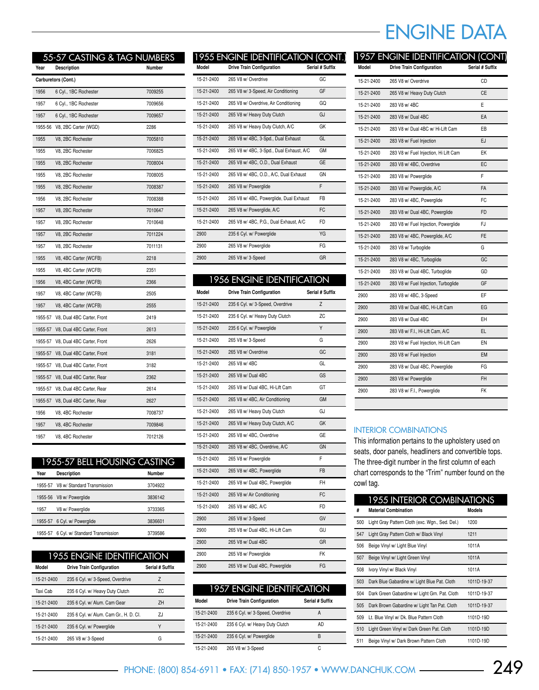|         | 55-57 CASTING & TAG NUMBERS        |         |
|---------|------------------------------------|---------|
| Year    | <b>Description</b>                 | Number  |
|         | Carburetors (Cont.)                |         |
| 1956    | 6 Cyl., 1BC Rochester              | 7009255 |
| 1957    | 6 Cyl., 1BC Rochester              | 7009656 |
| 1957    | 6 Cyl., 1BC Rochester              | 7009657 |
| 1955-56 | V8, 2BC Carter (WGD)               | 2286    |
| 1955    | V8, 2BC Rochester                  | 7005810 |
| 1955    | V8, 2BC Rochester                  | 7006825 |
| 1955    | V8, 2BC Rochester                  | 7008004 |
| 1955    | V8, 2BC Rochester                  | 7008005 |
| 1955    | V8, 2BC Rochester                  | 7008387 |
| 1956    | V8, 2BC Rochester                  | 7008388 |
| 1957    | V8, 2BC Rochester                  | 7010647 |
| 1957    | V8, 2BC Rochester                  | 7010648 |
| 1957    | V8, 2BC Rochester                  | 7011224 |
| 1957    | V8, 2BC Rochester                  | 7011131 |
| 1955    | V8, 4BC Carter (WCFB)              | 2218    |
| 1955    | V8, 4BC Carter (WCFB)              | 2351    |
| 1956    | V8, 4BC Carter (WCFB)              | 2366    |
| 1957    | V8, 4BC Carter (WCFB)              | 2505    |
| 1957    | V8, 4BC Carter (WCFB)              | 2555    |
|         | 1955-57 V8, Dual 4BC Carter, Front | 2419    |
|         | 1955-57 V8, Dual 4BC Carter, Front | 2613    |
| 1955-57 | V8, Dual 4BC Carter, Front         | 2626    |
| 1955-57 | V8, Dual 4BC Carter, Front         | 3181    |
| 1955-57 | V8, Dual 4BC Carter, Front         | 3182    |
| 1955-57 | V8, Dual 4BC Carter, Rear          | 2362    |
| 1955-57 | V8, Dual 4BC Carter, Rear          | 2614    |
| 1955-57 | V8, Dual 4BC Carter, Rear          | 2627    |
| 1956    | V8, 4BC Rochester                  | 7008737 |
| 1957    | V8, 4BC Rochester                  | 7009846 |
| 1957    | V8, 4BC Rochester                  | 7012126 |

## 1955-57 BELL HOUSING CASTING

| Year    | <b>Description</b>                  | <b>Number</b> |
|---------|-------------------------------------|---------------|
|         | 1955-57 V8 w/ Standard Transmission | 3704922       |
|         | 1955-56 V8 w/ Powerglide            | 3836142       |
| 1957    | V8 w/ Powerglide                    | 3733365       |
| 1955-57 | 6 Cyl. w/ Powerglide                | 3836601       |
| 1955-57 | 6 Cyl. w/ Standard Transmission     | 3739586       |

## 1955 ENGINE IDENTIFICATION

| Model      | <b>Drive Train Configuration</b>       | Serial # Suffix |
|------------|----------------------------------------|-----------------|
| 15-21-2400 | 235 6 Cyl. w/ 3-Speed, Overdrive       | Z               |
| Taxi Cab   | 235 6 Cyl. w/ Heavy Duty Clutch        | ΖC              |
| 15-21-2400 | 235 6 Cyl. w/ Alum. Cam Gear           | ZH              |
| 15-21-2400 | 235 6 Cyl. w/ Alum. Cam Gr., H. D. Cl. | ZJ              |
| 15-21-2400 | 235 6 Cyl. w/ Powerglide               | γ               |
| 15-21-2400 | 265 V8 w/ 3-Speed                      | G               |

|            | 1955 ENGINE IDENTIFICATION (CONT.)       |                 |
|------------|------------------------------------------|-----------------|
| Model      | <b>Drive Train Configuration</b>         | Serial # Suffix |
| 15-21-2400 | 265 V8 w/ Overdrive                      | GC              |
| 15-21-2400 | 265 V8 w/ 3-Speed, Air Conditioning      | GF              |
| 15-21-2400 | 265 V8 w/ Overdrive, Air Conditioning    | GQ              |
| 15-21-2400 | 265 V8 w/ Heavy Duty Clutch              | GJ              |
| 15-21-2400 | 265 V8 w/ Heavy Duty Clutch, A/C         | GK              |
| 15-21-2400 | 265 V8 w/ 4BC, 3-Spd., Dual Exhaust      | GL              |
| 15-21-2400 | 265 V8 w/ 4BC, 3-Spd., Dual Exhaust, A/C | <b>GM</b>       |
| 15-21-2400 | 265 V8 w/ 4BC, O.D., Dual Exhaust        | <b>GE</b>       |
| 15-21-2400 | 265 V8 w/ 4BC, O.D., A/C, Dual Exhaust   | GN              |
| 15-21-2400 | 265 V8 w/ Powerglide                     | F               |
| 15-21-2400 | 265 V8 w/ 4BC, Powerglide, Dual Exhaust  | FB              |
| 15-21-2400 | 265 V8 w/ Powerglide, A/C                | FC              |
| 15-21-2400 | 265 V8 w/ 4BC, P.G., Dual Exhaust, A/C   | FD              |
| 2900       | 235 6 Cyl. w/ Powerglide                 | YG              |
| 2900       | 265 V8 w/ Powerglide                     | FG              |
| 2900       | 265 V8 w/ 3-Speed                        | GR              |
|            |                                          |                 |

| <b>1956 ENGINE IDENTIFICATION</b> |                                  |                 |
|-----------------------------------|----------------------------------|-----------------|
| Model                             | <b>Drive Train Configuration</b> | Serial # Suffix |
| 15-21-2400                        | 235 6 Cyl. w/ 3-Speed, Overdrive | $\overline{z}$  |
| 15-21-2400                        | 235 6 Cyl. w/ Heavy Duty Clutch  | ZC              |
| 15-21-2400                        | 235 6 Cyl. w/ Powerglide         | Y               |
| 15-21-2400                        | 265 V8 w/ 3-Speed                | G               |
| 15-21-2400                        | 265 V8 w/ Overdrive              | GC              |
| 15-21-2400                        | 265 V8 w/4BC                     | GL              |
| 15-21-2400                        | 265 V8 w/ Dual 4BC               | GS              |
| 15-21-2400                        | 265 V8 w/ Dual 4BC, Hi-Lift Cam  | GT              |
| 15-21-2400                        | 265 V8 w/ 4BC, Air Conditioning  | <b>GM</b>       |
| 15-21-2400                        | 265 V8 w/ Heavy Duty Clutch      | GJ              |
| 15-21-2400                        | 265 V8 w/ Heavy Duty Clutch, A/C | GK              |
| 15-21-2400                        | 265 V8 w/ 4BC, Overdrive         | GE              |
| 15-21-2400                        | 265 V8 w/ 4BC, Overdrive, A/C    | GN              |
| 15-21-2400                        | 265 V8 w/ Powerglide             | F               |
| 15-21-2400                        | 265 V8 w/ 4BC, Powerglide        | <b>FB</b>       |
| 15-21-2400                        | 265 V8 w/ Dual 4BC, Powerglide   | FH              |
| 15-21-2400                        | 265 V8 w/ Air Conditioning       | FC              |
| 15-21-2400                        | 265 V8 w/ 4BC, A/C               | FD              |
| 2900                              | 265 V8 w/ 3-Speed                | GV              |
| 2900                              | 265 V8 w/ Dual 4BC, Hi-Lift Cam  | GU              |
| 2900                              | 265 V8 w/ Dual 4BC               | GR              |
| 2900                              | 265 V8 w/ Powerglide             | FK              |
| 2900                              | 265 V8 w/ Dual 4BC, Powerglide   | FG              |

| 1957 ENGINE IDENTIFICATION |                                  |                 |  |
|----------------------------|----------------------------------|-----------------|--|
| Model                      | <b>Drive Train Configuration</b> | Serial # Suffix |  |
| 15-21-2400                 | 235 6 Cyl. w/ 3-Speed, Overdrive | А               |  |
| 15-21-2400                 | 235 6 Cyl. w/ Heavy Duty Clutch  | AD              |  |
| 15-21-2400                 | 235 6 Cyl. w/ Powerglide         | B               |  |
| 15-21-2400                 | 265 V8 w/ 3-Speed                | r.              |  |

## ENGINE DATA

|            | 1957 ENGINE IDENTIFICATION (CONT      |                 |
|------------|---------------------------------------|-----------------|
| Model      | <b>Drive Train Configuration</b>      | Serial # Suffix |
| 15-21-2400 | 265 V8 w/ Overdrive                   | CD              |
| 15-21-2400 | 265 V8 w/ Heavy Duty Clutch           | CE              |
| 15-21-2400 | 283 V8 w/4BC                          | E               |
| 15-21-2400 | 283 V8 w/ Dual 4BC                    | EA              |
| 15-21-2400 | 283 V8 w/ Dual 4BC w/ Hi-Lift Cam     | EB              |
| 15-21-2400 | 283 V8 w/ Fuel Injection              | EJ              |
| 15-21-2400 | 283 V8 w/ Fuel Injection, Hi Lift Cam | EK              |
| 15-21-2400 | 283 V8 w/ 4BC, Overdrive              | EC              |
| 15-21-2400 | 283 V8 w/ Powerglide                  | F               |
| 15-21-2400 | 283 V8 w/ Powerglide, A/C             | FA              |
| 15-21-2400 | 283 V8 w/ 4BC, Powerglide             | FC              |
| 15-21-2400 | 283 V8 w/ Dual 4BC, Powerglide        | <b>FD</b>       |
| 15-21-2400 | 283 V8 w/ Fuel Injection, Powerglide  | FJ              |
| 15-21-2400 | 283 V8 w/ 4BC, Powerglide, A/C        | <b>FE</b>       |
| 15-21-2400 | 283 V8 w/ Turboglide                  | G               |
| 15-21-2400 | 283 V8 w/ 4BC, Turboglide             | GC              |
| 15-21-2400 | 283 V8 w/ Dual 4BC, Turboglide        | GD              |
| 15-21-2400 | 283 V8 w/ Fuel Injection, Turboglide  | GF              |
| 2900       | 283 V8 w/ 4BC, 3-Speed                | ΕF              |
| 2900       | 283 V8 w/ Dual 4BC, Hi-Lift Cam       | EG              |
| 2900       | 283 V8 w/ Dual 4BC                    | EН              |
| 2900       | 283 V8 w/ F.I., Hi-Lift Cam, A/C      | EL.             |
| 2900       | 283 V8 w/ Fuel Injection, Hi-Lift Cam | EN              |
| 2900       | 283 V8 w/ Fuel Injection              | EM              |
| 2900       | 283 V8 w/ Dual 4BC, Powerglide        | FG              |
| 2900       | 283 V8 w/ Powerglide                  | <b>FH</b>       |
| 2900       | 283 V8 w/ F.I., Powerglide            | FK              |
|            |                                       |                 |

### INTERIOR COMBINATIONS

This information pertains to the upholstery used on seats, door panels, headliners and convertible tops. The three-digit number in the first column of each chart corresponds to the "Trim" number found on the cowl tag.

|     | 1955 INTERIOR COMBINATIONS                      |               |
|-----|-------------------------------------------------|---------------|
| #   | <b>Material Combination</b>                     | <b>Models</b> |
| 500 | Light Gray Pattern Cloth (exc. Wgn., Sed. Del.) | 1200          |
| 547 | Light Gray Pattern Cloth w/ Black Vinyl         | 1211          |
| 506 | Beige Vinyl w/ Light Blue Vinyl                 | 1011A         |
| 507 | Beige Vinyl w/ Light Green Vinyl                | 1011A         |
| 508 | Ivory Vinyl w/ Black Vinyl                      | 1011A         |
| 503 | Dark Blue Gabardine w/ Light Blue Pat. Cloth    | 1011D-19-37   |
| 504 | Dark Green Gabardine w/ Light Grn. Pat. Cloth   | 1011D-19-37   |
| 505 | Dark Brown Gabardine w/ Light Tan Pat. Cloth    | 1011D-19-37   |
| 509 | Lt. Blue Vinyl w/ Dk. Blue Pattern Cloth        | 1101D-19D     |
| 510 | Light Green Vinyl w/ Dark Green Pat. Cloth      | 1101D-19D     |
| 511 | Beige Vinyl w/ Dark Brown Pattern Cloth         | 1101D-19D     |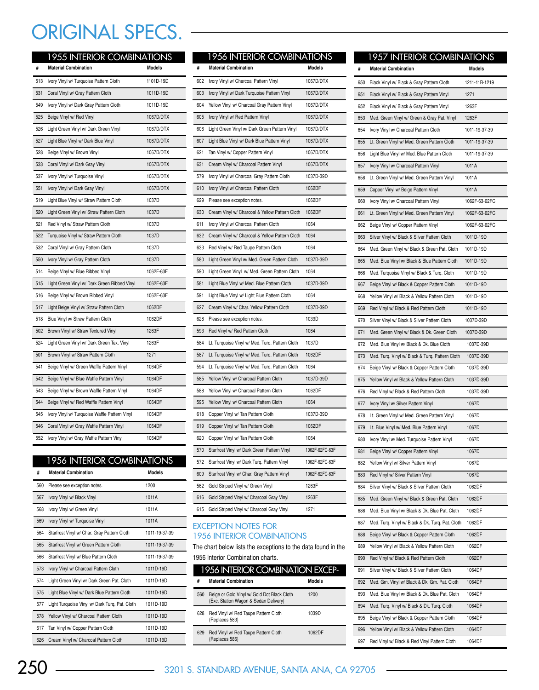## ORIGINAL SPECS.

|     | <b>1955 INTERIOR COMBINATIONS</b>             |           |
|-----|-----------------------------------------------|-----------|
| #   | <b>Material Combination</b>                   | Models    |
| 513 | Ivory Vinyl w/ Turquoise Pattern Cloth        | 1101D-19D |
| 531 | Coral Vinyl w/ Gray Pattern Cloth             | 1011D-19D |
| 549 | Ivory Vinyl w/ Dark Gray Pattern Cloth        | 1011D-19D |
| 525 | Beige Vinyl w/ Red Vinyl                      | 1067D/DTX |
| 526 | Light Green Vinyl w/ Dark Green Vinyl         | 1067D/DTX |
| 527 | Light Blue Vinyl w/ Dark Blue Vinyl           | 1067D/DTX |
| 528 | Beige Vinyl w/ Brown Vinyl                    | 1067D/DTX |
| 533 | Coral Vinyl w/ Dark Gray Vinyl                | 1067D/DTX |
| 537 | Ivory Vinyl w/ Turquoise Vinyl                | 1067D/DTX |
| 551 | Ivory Vinyl w/ Dark Gray Vinyl                | 1067D/DTX |
| 519 | Light Blue Vinyl w/ Straw Pattern Cloth       | 1037D     |
| 520 | Light Green Vinyl w/ Straw Pattern Cloth      | 1037D     |
| 521 | Red Vinyl w/ Straw Pattern Cloth              | 1037D     |
| 522 | Turquoise Vinyl w/ Straw Pattern Cloth        | 1037D     |
| 532 | Coral Vinyl w/ Gray Pattern Cloth             | 1037D     |
| 550 | Ivory Vinyl w/ Gray Pattern Cloth             | 1037D     |
| 514 | Beige Vinyl w/ Blue Ribbed Vinyl              | 1062F-63F |
| 515 | Light Green Vinyl w/ Dark Green Ribbed Vinyl  | 1062F-63F |
| 516 | Beige Vinyl w/ Brown Ribbed Vinyl             | 1062F-63F |
| 517 | Light Beige Vinyl w/ Straw Pattern Cloth      | 1062DF    |
| 518 | Blue Vinyl w/ Straw Pattern Cloth             | 1062DF    |
| 502 | Brown Vinyl w/ Straw Textured Vinyl           | 1263F     |
| 524 | Light Green Vinyl w/ Dark Green Tex. Vinyl    | 1263F     |
| 501 | Brown Vinyl w/ Straw Pattern Cloth            | 1271      |
| 541 | Beige Vinyl w/ Green Waffle Pattern Vinyl     | 1064DF    |
| 542 | Beige Vinyl w/ Blue Waffle Pattern Vinyl      | 1064DF    |
| 543 | Beige Vinyl w/ Brown Waffle Pattern Vinyl     | 1064DF    |
| 544 | Beige Vinyl w/ Red Waffle Pattern Vinyl       | 1064DF    |
| 545 | Ivory Vinyl w/ Turquoise Waffle Pattern Vinyl | 1064DF    |
| 546 | Coral Vinyl w/ Gray Waffle Pattern Vinyl      | 1064DF    |
| 552 | Ivory Vinyl w/ Gray Waffle Pattern Vinyl      | 1064DF    |

## 1956 INTERIOR COMBINATIONS

| #   | <b>Material Combination</b>                    | Models        |
|-----|------------------------------------------------|---------------|
| 560 | Please see exception notes.                    | 1200          |
| 567 | Ivory Vinyl w/ Black Vinyl                     | 1011A         |
| 568 | Ivory Vinyl w/ Green Vinyl                     | 1011A         |
| 569 | Ivory Vinyl w/ Turquoise Vinyl                 | 1011A         |
| 564 | Starfrost Vinyl w/ Char. Gray Pattern Cloth    | 1011-19-37-39 |
| 565 | Starfrost Vinyl w/ Green Pattern Cloth         | 1011-19-37-39 |
| 566 | Starfrost Vinyl w/ Blue Pattern Cloth          | 1011-19-37-39 |
| 573 | Ivory Vinyl w/ Charcoal Pattern Cloth          | 1011D-19D     |
| 574 | Light Green Vinyl w/ Dark Green Pat. Cloth     | 1011D-19D     |
| 575 | Light Blue Vinyl w/ Dark Blue Pattern Cloth    | 1011D-19D     |
| 577 | Light Turquoise Vinyl w/ Dark Turg. Pat. Cloth | 1011D-19D     |
| 578 | Yellow Vinyl w/ Charcoal Pattern Cloth         | 1011D-19D     |
| 617 | Tan Vinyl w/ Copper Pattern Cloth              | 1011D-19D     |
| 626 | Cream Vinyl w/ Charcoal Pattern Cloth          | 1011D-19D     |

|     | <b>1956 INTERIOR COMBINATIONS</b>               |                |
|-----|-------------------------------------------------|----------------|
| #   | <b>Material Combination</b>                     | <b>Models</b>  |
| 602 | Ivory Vinyl w/ Charcoal Pattern Vinyl           | 1067D/DTX      |
| 603 | Ivory Vinyl w/ Dark Turquoise Pattern Vinyl     | 1067D/DTX      |
| 604 | Yellow Vinyl w/ Charcoal Gray Pattern Vinyl     | 1067D/DTX      |
| 605 | Ivory Vinyl w/ Red Pattern Vinyl                | 1067D/DTX      |
| 606 | Light Green Vinyl w/ Dark Green Pattern Vinyl   | 1067D/DTX      |
| 607 | Light Blue Vinyl w/ Dark Blue Pattern Vinyl     | 1067D/DTX      |
| 621 | Tan Vinyl w/ Copper Pattern Vinyl               | 1067D/DTX      |
| 631 | Cream Vinyl w/ Charcoal Pattern Vinyl           | 1067D/DTX      |
| 579 | Ivory Vinyl w/ Charcoal Gray Pattern Cloth      | 1037D-39D      |
| 610 | Ivory Vinyl w/ Charcoal Pattern Cloth           | 1062DF         |
| 629 | Please see exception notes.                     | 1062DF         |
| 630 | Cream Vinyl w/ Charcoal & Yellow Pattern Cloth  | 1062DF         |
| 611 | Ivory Vinyl w/ Charcoal Pattern Cloth           | 1064           |
| 632 | Cream Vinyl w/ Charcoal & Yellow Pattern Cloth  | 1064           |
| 633 | Red Vinyl w/ Red Taupe Pattern Cloth            | 1064           |
| 580 | Light Green Vinyl w/ Med. Green Pattern Cloth   | 1037D-39D      |
| 590 | Light Green Vinyl w/ Med. Green Pattern Cloth   | 1064           |
| 581 | Light Blue Vinyl w/ Med. Blue Pattern Cloth     | 1037D-39D      |
| 591 | Light Blue Vinyl w/ Light Blue Pattern Cloth    | 1064           |
| 627 | Cream Vinyl w/ Char. Yellow Pattern Cloth       | 1037D-39D      |
| 628 | Please see exception notes.                     | 1039D          |
| 593 | Red Vinyl w/ Red Pattern Cloth                  | 1064           |
| 584 | Lt. Turquoise Vinyl w/ Med. Turq. Pattern Cloth | 1037D          |
| 587 | Lt. Turquoise Vinyl w/ Med. Turq. Pattern Cloth | 1062DF         |
| 594 | Lt. Turquoise Vinyl w/ Med. Turq. Pattern Cloth | 1064           |
| 585 | Yellow Vinyl w/ Charcoal Pattern Cloth          | 1037D-39D      |
| 588 | Yellow Vinyl w/ Charcoal Pattern Cloth          | 1062DF         |
| 595 | Yellow Vinyl w/ Charcoal Pattern Cloth          | 1064           |
| 618 | Copper Vinyl w/ Tan Pattern Cloth               | 1037D-39D      |
| 619 | Copper Vinyl w/ Tan Pattern Cloth               | 1062DF         |
| 620 | Copper Vinyl w/ Tan Pattern Cloth               | 1064           |
| 570 | Starfrost Vinyl w/ Dark Green Pattern Vinyl     | 1062F-62FC-63F |
| 572 | Starfrost Vinyl w/ Dark Turg. Pattern Vinyl     | 1062F-62FC-63F |
| 609 | Starfrost Vinyl w/ Char. Gray Pattern Vinyl     | 1062F-62FC-63F |
| 562 | Gold Striped Vinyl w/ Green Vinyl               | 1263F          |
| 616 | Gold Striped Vinyl w/ Charcoal Gray Vinyl       | 1263F          |
| 615 | Gold Striped Vinyl w/ Charcoal Gray Vinyl       | 1271           |

### EXCEPTION NOTES FOR 1956 INTERIOR COMBINATIONS

The chart below lists the exceptions to the data found in the 1956 Interior Combination charts.

| 1956 INTERIOR COMBINATION EXCEP- |                                                                                      |               |  |
|----------------------------------|--------------------------------------------------------------------------------------|---------------|--|
| #                                | <b>Material Combination</b>                                                          | <b>Models</b> |  |
| 560                              | Beige or Gold Vinyl w/ Gold Dot Black Cloth<br>(Exc. Station Wagon & Sedan Delivery) | 1200          |  |
| 628                              | Red Vinyl w/ Red Taupe Pattern Cloth<br>(Replaces 583)                               | 1039D         |  |
| 629                              | Red Vinyl w/ Red Taupe Pattern Cloth<br>(Replaces 586)                               | 1062DF        |  |

|     | <b>1957 INTERIOR COMBINATIONS</b>                |               |
|-----|--------------------------------------------------|---------------|
| #   | <b>Material Combination</b>                      | Models        |
| 650 | Black Vinyl w/ Black & Gray Pattern Cloth        | 1211-11B-1219 |
| 651 | Black Vinyl w/ Black & Gray Pattern Vinyl        | 1271          |
| 652 | Black Vinyl w/ Black & Gray Pattern Vinyl        | 1263F         |
| 653 | Med. Green Vinyl w/ Green & Gray Pat. Vinyl      | 1263F         |
| 654 | Ivory Vinyl w/ Charcoal Pattern Cloth            | 1011-19-37-39 |
| 655 | Lt. Green Vinyl w/ Med. Green Pattern Cloth      | 1011-19-37-39 |
| 656 | Light Blue Vinyl w/ Med. Blue Pattern Cloth      | 1011-19-37-39 |
| 657 | Ivory Vinyl w/ Charcoal Pattern Vinyl            | 1011A         |
| 658 | Lt. Green Vinyl w/ Med. Green Pattern Vinyl      | 1011A         |
| 659 | Copper Vinyl w/ Beige Pattern Vinyl              | 1011A         |
| 660 | Ivory Vinyl w/ Charcoal Pattern Vinyl            | 1062F-63-62FC |
| 661 | Lt. Green Vinyl w/ Med. Green Pattern Vinyl      | 1062F-63-62FC |
| 662 | Beige Vinyl w/ Copper Pattern Vinyl              | 1062F-63-62FC |
| 663 | Silver Vinyl w/ Black & Silver Pattern Cloth     | 1011D-19D     |
| 664 | Med. Green Vinyl w/ Black & Green Pat. Cloth     | 1011D-19D     |
| 665 | Med. Blue Vinyl w/ Black & Blue Pattern Cloth    | 1011D-19D     |
| 666 | Med. Turquoise Vinyl w/ Black & Turq. Cloth      | 1011D-19D     |
| 667 | Beige Vinyl w/ Black & Copper Pattern Cloth      | 1011D-19D     |
| 668 | Yellow Vinyl w/ Black & Yellow Pattern Cloth     | 1011D-19D     |
| 669 | Red Vinyl w/ Black & Red Pattern Cloth           | 1011D-19D     |
| 670 | Silver Vinyl w/ Black & Silver Pattern Cloth     | 1037D-39D     |
| 671 | Med. Green Vinyl w/ Black & Dk. Green Cloth      | 1037D-39D     |
| 672 | Med. Blue Vinyl w/ Black & Dk. Blue Cloth        | 1037D-39D     |
| 673 | Med. Turq. Vinyl w/ Black & Turq. Pattern Cloth  | 1037D-39D     |
| 674 | Beige Vinyl w/ Black & Copper Pattern Cloth      | 1037D-39D     |
| 675 | Yellow Vinyl w/ Black & Yellow Pattern Cloth     | 1037D-39D     |
| 676 | Red Vinyl w/ Black & Red Pattern Cloth           | 1037D-39D     |
| 677 | Ivory Vinyl w/ Silver Pattern Vinyl              | 1067D         |
| 678 | Lt. Green Vinyl w/ Med. Green Pattern Vinyl      | 1067D         |
| 679 | Lt. Blue Vinyl w/ Med. Blue Pattern Vinyl        | 1067D         |
| 680 | Ivory Vinyl w/ Med. Turquoise Pattern Vinyl      | 1067D         |
| 681 | Beige Vinyl w/ Copper Pattern Vinyl              | 1067D         |
| 682 | Yellow Vinyl w/ Silver Pattern Vinyl             | 1067D         |
| 683 | Red Vinyl w/ Silver Pattern Vinyl                | 1067D         |
| 684 | Silver Vinyl w/ Black & Silver Pattern Cloth     | 1062DF        |
| 685 | Med. Green Vinyl w/ Black & Green Pat. Cloth     | 1062DF        |
| 686 | Med. Blue Vinyl w/ Black & Dk. Blue Pat. Cloth   | 1062DF        |
| 687 | Med. Turq. Vinyl w/ Black & Dk. Turq. Pat. Cloth | 1062DF        |
| 688 | Beige Vinyl w/ Black & Copper Pattern Cloth      | 1062DF        |
| 689 | Yellow Vinyl w/ Black & Yellow Pattern Cloth     | 1062DF        |
| 690 | Red Vinyl w/ Black & Red Pattern Cloth           | 1062DF        |
| 691 | Silver Vinyl w/ Black & Silver Pattern Cloth     | 1064DF        |
| 692 | Med. Grn. Vinyl w/ Black & Dk. Grn. Pat. Cloth   | 1064DF        |
| 693 | Med. Blue Vinyl w/ Black & Dk. Blue Pat. Cloth   | 1064DF        |
| 694 | Med. Turq. Vinyl w/ Black & Dk. Turq. Cloth      | 1064DF        |
| 695 | Beige Vinyl w/ Black & Copper Pattern Cloth      | 1064DF        |
| 696 | Yellow Vinyl w/ Black & Yellow Pattern Cloth     | 1064DF        |
| 697 | Red Vinyl w/ Black & Red Vinyl Pattern Cloth     | 1064DF        |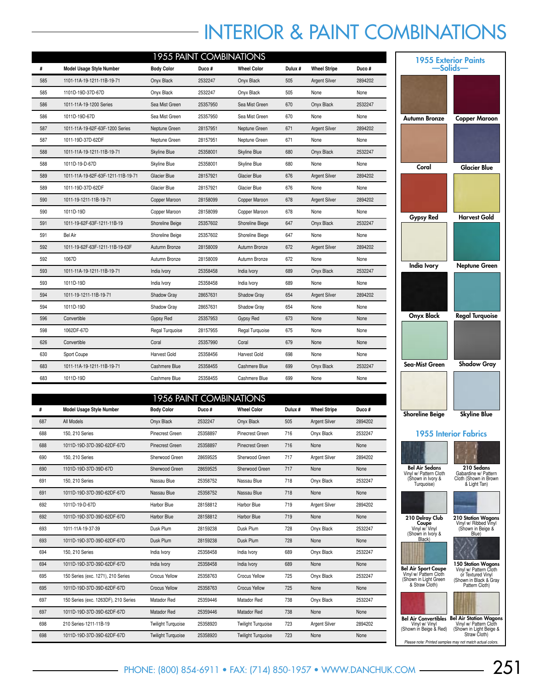# INTERIOR & PAINT COMBINATIONS

|     | <b>1955 PAINT COMBINATIONS</b>     |                     |          |                    |         |                      |         |  |  |  |  |
|-----|------------------------------------|---------------------|----------|--------------------|---------|----------------------|---------|--|--|--|--|
| #   | Model Usage Style Number           | <b>Body Color</b>   | Duco#    | <b>Wheel Color</b> | Dulux # | <b>Wheel Stripe</b>  | Duco#   |  |  |  |  |
| 585 | 1101-11A-19-1211-11B-19-71         | Onyx Black          | 2532247  | Onyx Black         | 505     | <b>Argent Silver</b> | 2894202 |  |  |  |  |
| 585 | 1101D-19D-37D-67D                  | Onyx Black          | 2532247  | Onyx Black         | 505     | None                 | None    |  |  |  |  |
| 586 | 1011-11A-19-1200 Series            | Sea Mist Green      | 25357950 | Sea Mist Green     | 670     | Onyx Black           | 2532247 |  |  |  |  |
| 586 | 1011D-19D-67D                      | Sea Mist Green      | 25357950 | Sea Mist Green     | 670     | None                 | None    |  |  |  |  |
| 587 | 1011-11A-19-62F-63F-1200 Series    | Neptune Green       | 28157951 | Neptune Green      | 671     | <b>Argent Silver</b> | 2894202 |  |  |  |  |
| 587 | 1011-19D-37D-62DF                  | Neptune Green       | 28157951 | Neptune Green      | 671     | None                 | None    |  |  |  |  |
| 588 | 1011-11A-19-1211-11B-19-71         | Skyline Blue        | 25358001 | Skyline Blue       | 680     | Onyx Black           | 2532247 |  |  |  |  |
| 588 | 1011D-19-D-67D                     | Skyline Blue        | 25358001 | Skyline Blue       | 680     | None                 | None    |  |  |  |  |
| 589 | 1011-11A-19-62F-63F-1211-11B-19-71 | <b>Glacier Blue</b> | 28157921 | Glacier Blue       | 676     | <b>Argent Silver</b> | 2894202 |  |  |  |  |
| 589 | 1011-19D-37D-62DF                  | Glacier Blue        | 28157921 | Glacier Blue       | 676     | None                 | None    |  |  |  |  |
| 590 | 1011-19-1211-11B-19-71             | Copper Maroon       | 28158099 | Copper Maroon      | 678     | <b>Argent Silver</b> | 2894202 |  |  |  |  |
| 590 | 1011D-19D                          | Copper Maroon       | 28158099 | Copper Maroon      | 678     | None                 | None    |  |  |  |  |
| 591 | 1011-19-62F-63F-1211-11B-19        | Shoreline Beige     | 25357602 | Shoreline Biege    | 647     | Onyx Black           | 2532247 |  |  |  |  |
| 591 | <b>Bel Air</b>                     | Shoreline Beige     | 25357602 | Shoreline Biege    | 647     | None                 | None    |  |  |  |  |
| 592 | 1011-19-62F-63F-1211-11B-19-63F    | Autumn Bronze       | 28158009 | Autumn Bronze      | 672     | <b>Argent Silver</b> | 2894202 |  |  |  |  |
| 592 | 1067D                              | Autumn Bronze       | 28158009 | Autumn Bronze      | 672     | None                 | None    |  |  |  |  |
| 593 | 1011-11A-19-1211-11B-19-71         | India Ivory         | 25358458 | India Ivory        | 689     | Onyx Black           | 2532247 |  |  |  |  |
| 593 | 1011D-19D                          | India Ivory         | 25358458 | India Ivory        | 689     | None                 | None    |  |  |  |  |
| 594 | 1011-19-1211-11B-19-71             | Shadow Gray         | 28657631 | Shadow Gray        | 654     | <b>Argent Silver</b> | 2894202 |  |  |  |  |
| 594 | 1011D-19D                          | Shadow Gray         | 28657631 | Shadow Gray        | 654     | None                 | None    |  |  |  |  |
| 596 | Convertible                        | Gypsy Red           | 25357953 | Gypsy Red          | 673     | None                 | None    |  |  |  |  |
| 598 | 1062DF-67D                         | Regal Turquoise     | 28157955 | Regal Turquoise    | 675     | None                 | None    |  |  |  |  |
| 626 | Convertible                        | Coral               | 25357990 | Coral              | 679     | None                 | None    |  |  |  |  |
| 630 | Sport Coupe                        | Harvest Gold        | 25358456 | Harvest Gold       | 698     | None                 | None    |  |  |  |  |
| 683 | 1011-11A-19-1211-11B-19-71         | Cashmere Blue       | 25358455 | Cashmere Blue      | 699     | Onyx Black           | 2532247 |  |  |  |  |
| 683 | 1011D-19D                          | Cashmere Blue       | 25358455 | Cashmere Blue      | 699     | None                 | None    |  |  |  |  |

|     | <b>1956 PAINT COMBINATIONS</b>       |                           |          |                           |        |                      |         |  |  |  |  |  |
|-----|--------------------------------------|---------------------------|----------|---------------------------|--------|----------------------|---------|--|--|--|--|--|
| #   | <b>Model Usage Style Number</b>      | <b>Body Color</b>         | Duco#    | <b>Wheel Color</b>        | Dulux# | <b>Wheel Stripe</b>  | Duco#   |  |  |  |  |  |
| 687 | All Models                           | Onyx Black                | 2532247  | Onyx Black                | 505    | <b>Argent Silver</b> | 2894202 |  |  |  |  |  |
| 688 | 150, 210 Series                      | <b>Pinecrest Green</b>    | 25358897 | Pinecrest Green           | 716    | Onyx Black           | 2532247 |  |  |  |  |  |
| 688 | 1011D-19D-37D-39D-62DF-67D           | Pinecrest Green           | 25358897 | Pinecrest Green           | 716    | None                 | None    |  |  |  |  |  |
| 690 | 150, 210 Series                      | Sherwood Green            | 28659525 | Sherwood Green            | 717    | <b>Argent Silver</b> | 2894202 |  |  |  |  |  |
| 690 | 1101D-19D-37D-39D-67D                | Sherwood Green            | 28659525 | Sherwood Green            | 717    | None                 | None    |  |  |  |  |  |
| 691 | 150, 210 Series                      | Nassau Blue               | 25358752 | Nassau Blue               | 718    | Onyx Black           | 2532247 |  |  |  |  |  |
| 691 | 1011D-19D-37D-39D-62DF-67D           | Nassau Blue               | 25358752 | Nassau Blue               | 718    | None                 | None    |  |  |  |  |  |
| 692 | 1011D-19-D-67D                       | Harbor Blue               | 28158812 | Harbor Blue               | 719    | <b>Argent Silver</b> | 2894202 |  |  |  |  |  |
| 692 | 1011D-19D-37D-39D-62DF-67D           | Harbor Blue               | 28158812 | Harbor Blue               | 719    | None                 | None    |  |  |  |  |  |
| 693 | 1011-11A-19-37-39                    | Dusk Plum                 | 28159238 | Dusk Plum                 | 728    | Onyx Black           | 2532247 |  |  |  |  |  |
| 693 | 1011D-19D-37D-39D-62DF-67D           | Dusk Plum                 | 28159238 | Dusk Plum                 | 728    | None                 | None    |  |  |  |  |  |
| 694 | 150, 210 Series                      | India Ivory               | 25358458 | India Ivory               | 689    | Onyx Black           | 2532247 |  |  |  |  |  |
| 694 | 1011D-19D-37D-39D-62DF-67D           | India Ivory               | 25358458 | India Ivory               | 689    | None                 | None    |  |  |  |  |  |
| 695 | 150 Series (exc. 1271), 210 Series   | <b>Crocus Yellow</b>      | 25358763 | Crocus Yellow             | 725    | Onyx Black           | 2532247 |  |  |  |  |  |
| 695 | 1011D-19D-37D-39D-62DF-67D           | <b>Crocus Yellow</b>      | 25358763 | <b>Crocus Yellow</b>      | 725    | None                 | None    |  |  |  |  |  |
| 697 | 150 Series (exc. 1263DF), 210 Series | Matador Red               | 25359446 | Matador Red               | 738    | Onyx Black           | 2532247 |  |  |  |  |  |
| 697 | 1011D-19D-37D-39D-62DF-67D           | Matador Red               | 25359446 | Matador Red               | 738    | None                 | None    |  |  |  |  |  |
| 698 | 210 Series-1211-11B-19               | <b>Twilight Turquoise</b> | 25358920 | <b>Twilight Turquoise</b> | 723    | <b>Argent Silver</b> | 2894202 |  |  |  |  |  |
| 698 | 1011D-19D-37D-39D-62DF-67D           | <b>Twilight Turquoise</b> | 25358920 | <b>Twilight Turquoise</b> | 723    | None                 | None    |  |  |  |  |  |

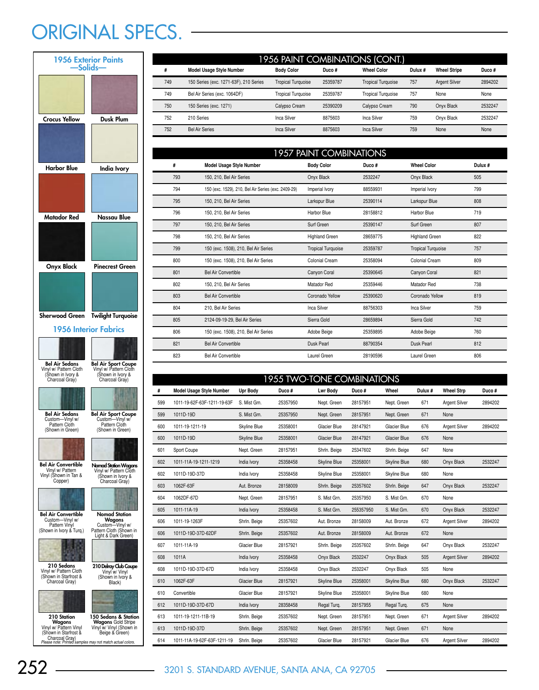# ORIGINAL SPECS. -

| <b>1956 Exterior Paints</b><br>-Solids-                                                                                               |                                                                                                                                                  |  |  |  |  |  |  |  |
|---------------------------------------------------------------------------------------------------------------------------------------|--------------------------------------------------------------------------------------------------------------------------------------------------|--|--|--|--|--|--|--|
|                                                                                                                                       |                                                                                                                                                  |  |  |  |  |  |  |  |
| Crocus Yellow                                                                                                                         | Dusk Plum                                                                                                                                        |  |  |  |  |  |  |  |
|                                                                                                                                       |                                                                                                                                                  |  |  |  |  |  |  |  |
| <b>Harbor Blue</b>                                                                                                                    | India Ivory                                                                                                                                      |  |  |  |  |  |  |  |
|                                                                                                                                       |                                                                                                                                                  |  |  |  |  |  |  |  |
| Matador Red                                                                                                                           | Nassau Blue                                                                                                                                      |  |  |  |  |  |  |  |
| Onyx Black                                                                                                                            | Pinecrest Green                                                                                                                                  |  |  |  |  |  |  |  |
|                                                                                                                                       |                                                                                                                                                  |  |  |  |  |  |  |  |
| <b>Sherwood Green</b>                                                                                                                 | <b>Twilight Turquoise</b>                                                                                                                        |  |  |  |  |  |  |  |
|                                                                                                                                       | 1956 Interior Fabrics                                                                                                                            |  |  |  |  |  |  |  |
| <b>Bel Air Sedans</b><br>Vinyl w/ Pattern Cloth<br>(Shown in Ivory &<br>Charcoal Gray)                                                | Bel Air Sport Coupe<br>Vinyl w/ Pattern Cloth<br>(Shown in Ivory &<br>Charcoal Gray)                                                             |  |  |  |  |  |  |  |
| Bel Air Sedans<br>Custom-Vinyl w/<br>Pattern Cloth<br>(Shown in Green)                                                                | <b>Bel Air Sport Coupe</b><br>Custom-Vinyl w/<br>Pattern Cloth<br>(Shown in Green)                                                               |  |  |  |  |  |  |  |
| <b>Bel Air Convertible</b><br>Vinyl w/ Pattern<br>Vinyl (Shown in Tan &<br>Copper)                                                    | <b>Nomad Station Wagons</b><br>Vinyl w/ Pattern Cloth<br>(Shown in Ivory &<br>Charcoal Gray)                                                     |  |  |  |  |  |  |  |
| Bel Air Convertible<br>Custom-Vinyl w/<br>Pattern Vinyl<br>(Shown in Ivory & Turq.)<br>210 Sedans<br>Vinyl w/ Pattern Cloth           | Nomad Station<br>Wagons<br>Custom-<br>-Vinyl w/<br>Pattern Cloth (Shown in<br>Light & Dark Green)<br>210 Delray Club Coupe                       |  |  |  |  |  |  |  |
| (Shown in Starfrost &<br>Charcoal Gray)<br>210 Station<br>Wagons<br>Vinyl w/ Pattern Vinyl<br>(Shown in Starfrost &<br>Charcoal Gray) | Vinyl w/ Vinyl<br>(Shown in Ivory &<br>Black)<br>150 Sedans & Station<br><b>Wagons Gold Stripe</b><br>Vinyl w/ Vinyl (Shown in<br>Beige & Green) |  |  |  |  |  |  |  |

| #                          | <b>Model Usage Style Number</b>        | <b>Body Color</b>         | Duco#    | <b>Wheel Color</b>        | Dulux # | <b>Wheel Stripe</b>  | Duco#   |  |  |
|----------------------------|----------------------------------------|---------------------------|----------|---------------------------|---------|----------------------|---------|--|--|
| 749                        | 150 Series (exc. 1271-63F), 210 Series | <b>Tropical Turquoise</b> | 25359787 | <b>Tropical Turquoise</b> | 757     | <b>Argent Silver</b> | 2894202 |  |  |
| 749                        | Bel Air Series (exc. 1064DF)           | <b>Tropical Turquoise</b> | 25359787 | <b>Tropical Turquoise</b> | 757     | None                 | None    |  |  |
| 750                        | 150 Series (exc. 1271)                 | Calypso Cream             | 25390209 | Calypso Cream             | 790     | Onyx Black           | 2532247 |  |  |
| 752                        | 210 Series                             | Inca Silver               | 8875603  | Inca Silver               | 759     | Onyx Black           | 2532247 |  |  |
| 752                        | <b>Bel Air Series</b>                  | <b>Inca Silver</b>        | 8875603  | Inca Silver               | 759     | None                 | None    |  |  |
|                            |                                        |                           |          |                           |         |                      |         |  |  |
| 1957 PAINIT COMRINIATIONIS |                                        |                           |          |                           |         |                      |         |  |  |

1956 PAINT COMBINATIONS (CONT.)

|     | <b>UZUZ TAILNI COMUNATIONU</b>                      |                           |          |                           |         |  |  |  |  |  |  |  |
|-----|-----------------------------------------------------|---------------------------|----------|---------------------------|---------|--|--|--|--|--|--|--|
| #   | Model Usage Style Number                            | <b>Body Color</b>         | Duco#    | <b>Wheel Color</b>        | Dulux # |  |  |  |  |  |  |  |
| 793 | 150, 210, Bel Air Series                            | Onyx Black                | 2532247  | Onyx Black                | 505     |  |  |  |  |  |  |  |
| 794 | 150 (exc. 1529), 210, Bel Air Series (exc. 2409-29) | Imperial Ivory            | 88559931 | Imperial Ivory            | 799     |  |  |  |  |  |  |  |
| 795 | 150, 210, Bel Air Series                            | Larkspur Blue             | 25390114 | Larkspur Blue             | 808     |  |  |  |  |  |  |  |
| 796 | 150, 210, Bel Air Series                            | <b>Harbor Blue</b>        | 28158812 | Harbor Blue               | 719     |  |  |  |  |  |  |  |
| 797 | 150, 210, Bel Air Series                            | Surf Green                | 25390147 | Surf Green                | 807     |  |  |  |  |  |  |  |
| 798 | 150, 210, Bel Air Series                            | <b>Highland Green</b>     | 28659775 | <b>Highland Green</b>     | 822     |  |  |  |  |  |  |  |
| 799 | 150 (exc. 1508), 210, Bel Air Series                | <b>Tropical Turquoise</b> | 25359787 | <b>Tropical Turquoise</b> | 757     |  |  |  |  |  |  |  |
| 800 | 150 (exc. 1508), 210, Bel Air Series                | Colonial Cream            | 25358094 | Colonial Cream            | 809     |  |  |  |  |  |  |  |
| 801 | <b>Bel Air Convertible</b>                          | Canyon Coral              | 25390645 | Canyon Coral              | 821     |  |  |  |  |  |  |  |
| 802 | 150, 210, Bel Air Series                            | Matador Red               | 25359446 | Matador Red               | 738     |  |  |  |  |  |  |  |
| 803 | <b>Bel Air Convertible</b>                          | Coronado Yellow           | 25390620 | Coronado Yellow           | 819     |  |  |  |  |  |  |  |
| 804 | 210, Bel Air Series                                 | Inca Silver               | 88756303 | <b>Inca Silver</b>        | 759     |  |  |  |  |  |  |  |
| 805 | 2124-09-19-29, Bel Air Series                       | Sierra Gold               | 28659894 | Sierra Gold               | 742     |  |  |  |  |  |  |  |
| 806 | 150 (exc. 1508), 210, Bel Air Series                | Adobe Beige               | 25359895 | Adobe Beige               | 760     |  |  |  |  |  |  |  |
| 821 | <b>Bel Air Convertible</b>                          | <b>Dusk Pearl</b>         | 88790354 | Dusk Pearl                | 812     |  |  |  |  |  |  |  |
| 823 | <b>Bel Air Convertible</b>                          | Laurel Green              | 28190596 | Laurel Green              | 806     |  |  |  |  |  |  |  |
|     |                                                     |                           |          |                           |         |  |  |  |  |  |  |  |

|     | <b>1955 TWO-TONE COMBINATIONS</b> |                 |          |                 |           |                     |         |                      |         |  |  |
|-----|-----------------------------------|-----------------|----------|-----------------|-----------|---------------------|---------|----------------------|---------|--|--|
| #   | <b>Model Usage Style Number</b>   | <b>Upr Body</b> | Duco#    | <b>Lwr Body</b> | Duco#     | Wheel               | Dulux # | <b>Wheel Strp</b>    | Duco#   |  |  |
| 599 | 1011-19-62F-63F-1211-19-63F       | S. Mist Grn.    | 25357950 | Nept. Green     | 28157951  | Nept. Green         | 671     | <b>Argent Silver</b> | 2894202 |  |  |
| 599 | 1011D-19D                         | S. Mist Grn.    | 25357950 | Nept. Green     | 28157951  | Nept. Green         | 671     | None                 |         |  |  |
| 600 | 1011-19-1211-19                   | Skyline Blue    | 25358001 | Glacier Blue    | 28147921  | Glacier Blue        | 676     | <b>Argent Silver</b> | 2894202 |  |  |
| 600 | 1011D-19D                         | Skyline Blue    | 25358001 | Glacier Blue    | 28147921  | Glacier Blue        | 676     | None                 |         |  |  |
| 601 | Sport Coupe                       | Nept. Green     | 28157951 | Shrln. Beige    | 25347602  | Shrln. Beige        | 647     | None                 |         |  |  |
| 602 | 1011-11A-19-1211-1219             | India Ivory     | 25358458 | Skyline Blue    | 25358001  | Skyline Blue        | 680     | Onyx Black           | 2532247 |  |  |
| 602 | 1011D-19D-37D                     | India Ivory     | 25358458 | Skyline Blue    | 25358001  | Skyline Blue        | 680     | None                 |         |  |  |
| 603 | 1062F-63F                         | Aut. Bronze     | 28158009 | Shrln. Beige    | 25357602  | Shrln. Beige        | 647     | Onyx Black           | 2532247 |  |  |
| 604 | 1062DF-67D                        | Nept. Green     | 28157951 | S. Mist Grn.    | 25357950  | S. Mist Grn.        | 670     | None                 |         |  |  |
| 605 | 1011-11A-19                       | India Ivory     | 25358458 | S. Mist Grn.    | 255357950 | S. Mist Grn.        | 670     | Onyx Black           | 2532247 |  |  |
| 606 | 1011-19-1263F                     | Shrln. Beige    | 25357602 | Aut. Bronze     | 28158009  | Aut. Bronze         | 672     | <b>Argent Silver</b> | 2894202 |  |  |
| 606 | 1011D-19D-37D-62DF                | Shrln. Beige    | 25357602 | Aut. Bronze     | 28158009  | Aut. Bronze         | 672     | None                 |         |  |  |
| 607 | 1011-11A-19                       | Glacier Blue    | 28157921 | Shrln. Beige    | 25357602  | Shrln. Beige        | 647     | Onyx Black           | 2532247 |  |  |
| 608 | 1011A                             | India Ivory     | 25358458 | Onyx Black      | 2532247   | Onyx Black          | 505     | <b>Argent Silver</b> | 2894202 |  |  |
| 608 | 1011D-19D-37D-67D                 | India Ivory     | 25358458 | Onyx Black      | 2532247   | Onyx Black          | 505     | None                 |         |  |  |
| 610 | 1062F-63F                         | Glacier Blue    | 28157921 | Skyline Blue    | 25358001  | <b>Skyline Blue</b> | 680     | Onyx Black           | 2532247 |  |  |
| 610 | Convertible                       | Glacier Blue    | 28157921 | Skyline Blue    | 25358001  | Skyline Blue        | 680     | None                 |         |  |  |
| 612 | 1011D-19D-37D-67D                 | India Ivory     | 28358458 | Regal Turg.     | 28157955  | Regal Turg.         | 675     | None                 |         |  |  |
| 613 | 1011-19-1211-11B-19               | Shrin. Beige    | 25357602 | Nept. Green     | 28157951  | Nept. Green         | 671     | <b>Argent Silver</b> | 2894202 |  |  |
| 613 | 1011D-19D-37D                     | Shrln. Beige    | 25357602 | Nept. Green     | 28157951  | Nept. Green         | 671     | None                 |         |  |  |
| 614 | 1011-11A-19-62F-63F-1211-19       | Shrln. Beige    | 25357602 | Glacier Blue    | 28157921  | Glacier Blue        | 676     | <b>Argent Silver</b> | 2894202 |  |  |

Please note: Printed samples may not match actual colors.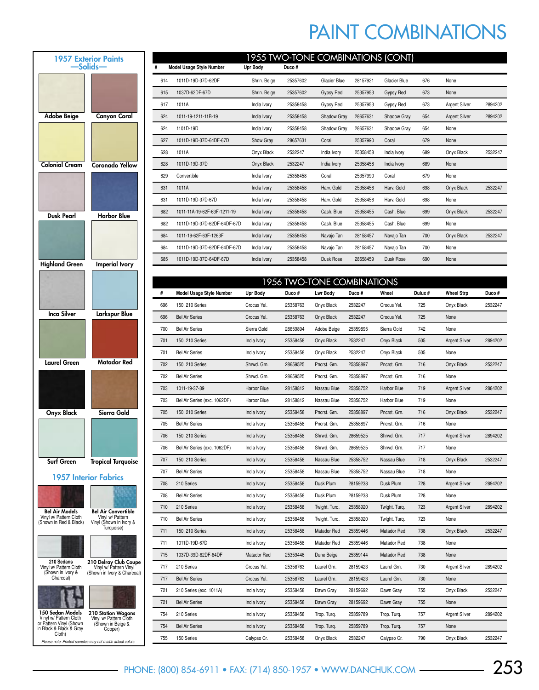## PAINT COMBINATIONS

| <b>1957 Exterior Paints</b><br>-Solids-                                                                    |                                                                                  |  |  |  |  |  |
|------------------------------------------------------------------------------------------------------------|----------------------------------------------------------------------------------|--|--|--|--|--|
|                                                                                                            |                                                                                  |  |  |  |  |  |
| <b>Adobe Beige</b>                                                                                         | <b>Canyon Coral</b>                                                              |  |  |  |  |  |
|                                                                                                            |                                                                                  |  |  |  |  |  |
| <b>Colonial Cream</b>                                                                                      | <b>Coronado Yellow</b>                                                           |  |  |  |  |  |
|                                                                                                            |                                                                                  |  |  |  |  |  |
| Dusk Pearl                                                                                                 | <b>Harbor Blue</b>                                                               |  |  |  |  |  |
|                                                                                                            |                                                                                  |  |  |  |  |  |
| <b>Highland Green</b>                                                                                      | <b>Imperial Ivory</b>                                                            |  |  |  |  |  |
|                                                                                                            |                                                                                  |  |  |  |  |  |
| Inca Silver                                                                                                | Larkspur Blue                                                                    |  |  |  |  |  |
|                                                                                                            |                                                                                  |  |  |  |  |  |
| Laurel Green                                                                                               | <b>Matador Red</b>                                                               |  |  |  |  |  |
|                                                                                                            |                                                                                  |  |  |  |  |  |
| <b>Onyx Black</b>                                                                                          | Sierra Gold                                                                      |  |  |  |  |  |
|                                                                                                            |                                                                                  |  |  |  |  |  |
| Surf Green                                                                                                 | Tropical Turquoise                                                               |  |  |  |  |  |
|                                                                                                            | <b>1957 Interior Fabrics</b>                                                     |  |  |  |  |  |
| <b>Bel Air Models</b><br>Vinyl w/ Pattern Cloth<br>(Shown in Red & Black)                                  | Bel Air Convertible<br>Vinyl w/ Pattern<br>Vinyl (Shown in Ivory &<br>Turquoise) |  |  |  |  |  |
| 210 Sedans<br>Vinyl w/ Pattern Cloth<br>(Shown in Ivory &<br>Charcoal)                                     | 210 Delray Club Coupe<br>Vinyl w/ Pattern Vinyl<br>(Shown in Ivory & Charcoal)   |  |  |  |  |  |
| 150 Sedan Models<br>Vinyl w/ Pattern Cloth<br>or Pattern Vinyl (Shown<br>in Black & Black & Gray<br>Cloth) | 210 Station Wagons<br>Vinyl w/ Pattern Cloth<br>(Shown in Beige &<br>Copper)     |  |  |  |  |  |

| Please note: Printed samples may not match actual colors. |  |  |  |
|-----------------------------------------------------------|--|--|--|

|     | 1955 TWO-TONE COMBINATIONS (CONT) |              |          |              |          |              |     |                      |         |  |
|-----|-----------------------------------|--------------|----------|--------------|----------|--------------|-----|----------------------|---------|--|
|     | Model Usage Style Number          | Upr Body     | Duco#    |              |          |              |     |                      |         |  |
| 614 | 1011D-19D-37D-62DF                | Shrln. Beige | 25357602 | Glacier Blue | 28157921 | Glacier Blue | 676 | None                 |         |  |
| 615 | 1037D-62DF-67D                    | Shrln. Beige | 25357602 | Gypsy Red    | 25357953 | Gypsy Red    | 673 | None                 |         |  |
| 617 | 1011A                             | India Ivory  | 25358458 | Gypsy Red    | 25357953 | Gypsy Red    | 673 | Argent Silver        | 2894202 |  |
| 624 | 1011-19-1211-11B-19               | India Ivory  | 25358458 | Shadow Gray  | 28657631 | Shadow Gray  | 654 | <b>Argent Silver</b> | 2894202 |  |
| 624 | 1101D-19D                         | India Ivory  | 25358458 | Shadow Gray  | 28657631 | Shadow Gray  | 654 | None                 |         |  |
| 627 | 1011D-19D-37D-64DF-67D            | Shdw Gray    | 28657631 | Coral        | 25357990 | Coral        | 679 | None                 |         |  |
| 628 | 1011A                             | Onyx Black   | 2532247  | India Ivory  | 25358458 | India Ivory  | 689 | Onyx Black           | 2532247 |  |
| 628 | 1011D-19D-37D                     | Onyx Black   | 2532247  | India Ivory  | 25358458 | India Ivory  | 689 | None                 |         |  |
| 629 | Convertible                       | India Ivory  | 25358458 | Coral        | 25357990 | Coral        | 679 | None                 |         |  |
| 631 | 1011A                             | India Ivory  | 25358458 | Harv. Gold   | 25358456 | Harv. Gold   | 698 | Onyx Black           | 2532247 |  |
| 631 | 1011D-19D-37D-67D                 | India Ivory  | 25358458 | Harv. Gold   | 25358456 | Harv. Gold   | 698 | None                 |         |  |
| 682 | 1011-11A-19-62F-63F-1211-19       | India Ivory  | 25358458 | Cash, Blue   | 25358455 | Cash, Blue   | 699 | Onyx Black           | 2532247 |  |
| 682 | 1011D-19D-37D-62DF-64DF-67D       | India Ivory  | 25358458 | Cash, Blue   | 25358455 | Cash, Blue   | 699 | None                 |         |  |
| 684 | 1011-19-62F-63F-1263F             | India Ivory  | 25358458 | Navajo Tan   | 28158457 | Navajo Tan   | 700 | Onyx Black           | 2532247 |  |
| 684 | 1011D-19D-37D-62DF-64DF-67D       | India Ivory  | 25358458 | Navajo Tan   | 28158457 | Navajo Tan   | 700 | None                 |         |  |
| 685 | 1011D-19D-37D-64DF-67D            | India Ivory  | 25358458 | Dusk Rose    | 28658459 | Dusk Rose    | 690 | None                 |         |  |

|     |                                 |             |          | <b>1956 TWO-TONE COMBINATIONS</b> |          |               |         |                      |         |
|-----|---------------------------------|-------------|----------|-----------------------------------|----------|---------------|---------|----------------------|---------|
| #   | <b>Model Usage Style Number</b> | Upr Body    | Duco #   | <b>Lwr Body</b>                   | Duco #   | Wheel         | Dulux # | <b>Wheel Strp</b>    | Duco#   |
| 696 | 150, 210 Series                 | Crocus Yel. | 25358763 | Onyx Black                        | 2532247  | Crocus Yel.   | 725     | Onyx Black           | 2532247 |
| 696 | <b>Bel Air Series</b>           | Crocus Yel. | 25358763 | Onyx Black                        | 2532247  | Crocus Yel.   | 725     | None                 |         |
| 700 | <b>Bel Air Series</b>           | Sierra Gold | 28659894 | Adobe Beige                       | 25359895 | Sierra Gold   | 742     | None                 |         |
| 701 | 150, 210 Series                 | India Ivory | 25358458 | Onyx Black                        | 2532247  | Onyx Black    | 505     | <b>Argent Silver</b> | 2894202 |
| 701 | <b>Bel Air Series</b>           | India Ivory | 25358458 | Onyx Black                        | 2532247  | Onyx Black    | 505     | None                 |         |
| 702 | 150, 210 Series                 | Shrwd. Grn. | 28659525 | Pncrst. Grn.                      | 25358897 | Pncrst. Grn.  | 716     | Onyx Black           | 2532247 |
| 702 | <b>Bel Air Series</b>           | Shrwd. Grn. | 28659525 | Pncrst. Grn.                      | 25358897 | Pncrst. Grn.  | 716     | None                 |         |
| 703 | 1011-19-37-39                   | Harbor Blue | 28158812 | Nassau Blue                       | 25358752 | Harbor Blue   | 719     | <b>Argent Silver</b> | 2884202 |
| 703 | Bel Air Series (exc. 1062DF)    | Harbor Blue | 28158812 | Nassau Blue                       | 25358752 | Harbor Blue   | 719     | None                 |         |
| 705 | 150, 210 Series                 | India Ivory | 25358458 | Pncrst. Grn.                      | 25358897 | Pncrst. Grn.  | 716     | Onyx Black           | 2532247 |
| 705 | <b>Bel Air Series</b>           | India Ivory | 25358458 | Pncrst. Grn.                      | 25358897 | Pncrst. Grn.  | 716     | None                 |         |
| 706 | 150, 210 Series                 | India Ivory | 25358458 | Shrwd. Grn.                       | 28659525 | Shrwd. Grn.   | 717     | <b>Argent Silver</b> | 2894202 |
| 706 | Bel Air Series (exc. 1062DF)    | India Ivory | 25358458 | Shrwd. Grn.                       | 28659525 | Shrwd. Grn.   | 717     | None                 |         |
| 707 | 150, 210 Series                 | India Ivory | 25358458 | Nassau Blue                       | 25358752 | Nassau Blue   | 718     | Onyx Black           | 2532247 |
| 707 | <b>Bel Air Series</b>           | India Ivory | 25358458 | Nassau Blue                       | 25358752 | Nassau Blue   | 718     | None                 |         |
| 708 | 210 Series                      | India Ivory | 25358458 | Dusk Plum                         | 28159238 | Dusk Plum     | 728     | <b>Argent Silver</b> | 2894202 |
| 708 | <b>Bel Air Series</b>           | India Ivory | 25358458 | Dusk Plum                         | 28159238 | Dusk Plum     | 728     | None                 |         |
| 710 | 210 Series                      | India Ivory | 25358458 | Twight. Turq.                     | 25358920 | Twight. Turq. | 723     | <b>Argent Silver</b> | 2894202 |
| 710 | <b>Bel Air Series</b>           | India Ivory | 25358458 | Twight. Turq.                     | 25358920 | Twight. Turq. | 723     | None                 |         |
| 711 | 150, 210 Series                 | India Ivory | 25358458 | Matador Red                       | 25359446 | Matador Red   | 738     | Onyx Black           | 2532247 |
| 711 | 1011D-19D-67D                   | India Ivory | 25358458 | Matador Red                       | 25359446 | Matador Red   | 738     | None                 |         |
| 715 | 1037D-39D-62DF-64DF             | Matador Red | 25359446 | Dune Beige                        | 25359144 | Matador Red   | 738     | None                 |         |
| 717 | 210 Series                      | Crocus Yel. | 25358763 | Laurel Grn.                       | 28159423 | Laurel Grn.   | 730     | <b>Argent Silver</b> | 2894202 |
| 717 | <b>Bel Air Series</b>           | Crocus Yel. | 25358763 | Laurel Grn.                       | 28159423 | Laurel Grn.   | 730     | None                 |         |
| 721 | 210 Series (exc. 1011A)         | India Ivory | 25358458 | Dawn Gray                         | 28159692 | Dawn Gray     | 755     | Onyx Black           | 2532247 |
| 721 | <b>Bel Air Series</b>           | India Ivory | 25358458 | Dawn Gray                         | 28159692 | Dawn Gray     | 755     | None                 |         |
| 754 | 210 Series                      | India Ivory | 25358458 | Trop. Turq.                       | 25359789 | Trop. Turq.   | 757     | <b>Argent Silver</b> | 2894202 |
| 754 | <b>Bel Air Series</b>           | India Ivory | 25358458 | Trop. Turq.                       | 25359789 | Trop. Turq.   | 757     | None                 |         |
| 755 | 150 Series                      | Calypso Cr. | 25358458 | Onyx Black                        | 2532247  | Calypso Cr.   | 790     | Onyx Black           | 2532247 |